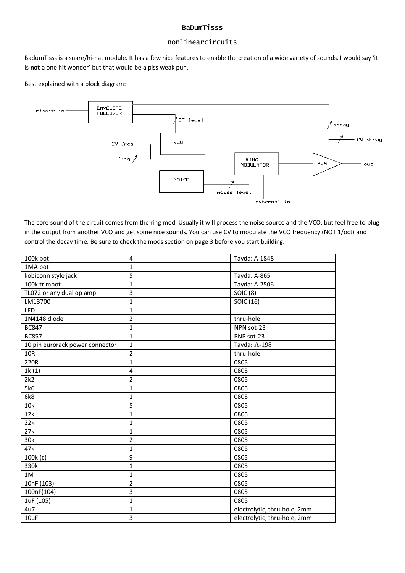#### BaDumTisss

## nonlinearcircuits

BadumTisss is a snare/hi-hat module. It has a few nice features to enable the creation of a wide variety of sounds. I would say 'it is **not** a one hit wonder' but that would be a piss weak pun.

Best explained with a block diagram:



The core sound of the circuit comes from the ring mod. Usually it will process the noise source and the VCO, but feel free to plug in the output from another VCO and get some nice sounds. You can use CV to modulate the VCO frequency (NOT 1/oct) and control the decay time. Be sure to check the mods section on page 3 before you start building.

| 100k pot                        | $\overline{\mathbf{4}}$ | Tayda: A-1848                |
|---------------------------------|-------------------------|------------------------------|
| 1MA pot                         | $\mathbf{1}$            |                              |
| kobiconn style jack             | $\overline{5}$          | Tayda: A-865                 |
| 100k trimpot                    | $\mathbf 1$             | Tayda: A-2506                |
| TL072 or any dual op amp        | 3                       | <b>SOIC (8)</b>              |
| LM13700                         | $\mathbf{1}$            | SOIC (16)                    |
| LED                             | $\mathbf{1}$            |                              |
| 1N4148 diode                    | $\overline{2}$          | thru-hole                    |
| <b>BC847</b>                    | 1                       | NPN sot-23                   |
| <b>BC857</b>                    | $\overline{1}$          | PNP sot-23                   |
| 10 pin eurorack power connector | $\mathbf 1$             | Tayda: A-198                 |
| 10R                             | $\overline{2}$          | thru-hole                    |
| 220R                            | $\mathbf{1}$            | 0805                         |
| 1k(1)                           | $\overline{\mathbf{4}}$ | 0805                         |
| 2k2                             | $\overline{2}$          | 0805                         |
| 5k6                             | $\mathbf{1}$            | 0805                         |
| 6k8                             | $\mathbf{1}$            | 0805                         |
| 10k                             | 5                       | 0805                         |
| 12k                             | $\mathbf 1$             | 0805                         |
| 22k                             | $\mathbf{1}$            | 0805                         |
| 27k                             | $\mathbf{1}$            | 0805                         |
| 30k                             | $\overline{2}$          | 0805                         |
| 47k                             | $\mathbf{1}$            | 0805                         |
| 100k (c)                        | 9                       | 0805                         |
| 330k                            | $\mathbf{1}$            | 0805                         |
| 1M                              | $\mathbf{1}$            | 0805                         |
| 10nF (103)                      | $\overline{2}$          | 0805                         |
| 100nF(104)                      | 3                       | 0805                         |
| 1uF (105)                       | $\mathbf{1}$            | 0805                         |
| 4u7                             | $\mathbf{1}$            | electrolytic, thru-hole, 2mm |
| 10uF                            | 3                       | electrolytic, thru-hole, 2mm |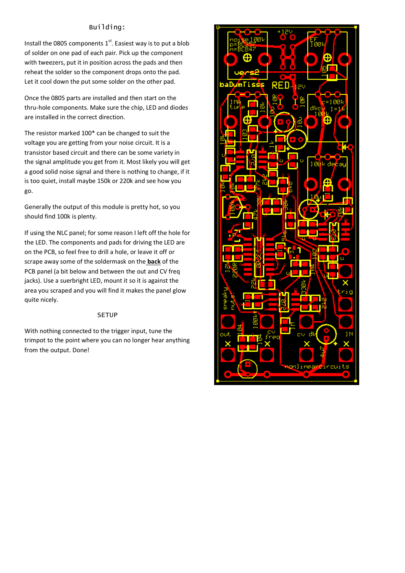## Building:

Install the 0805 components  $1<sup>st</sup>$ . Easiest way is to put a blob of solder on one pad of each pair. Pick up the component with tweezers, put it in position across the pads and then reheat the solder so the component drops onto the pad. Let it cool down the put some solder on the other pad.

Once the 0805 parts are installed and then start on the thru-hole components. Make sure the chip, LED and diodes are installed in the correct direction.

The resistor marked 100\* can be changed to suit the voltage you are getting from your noise circuit. It is a transistor based circuit and there can be some variety in the signal amplitude you get from it. Most likely you will get a good solid noise signal and there is nothing to change, if it is too quiet, install maybe 150k or 220k and see how you go.

Generally the output of this module is pretty hot, so you should find 100k is plenty.

If using the NLC panel; for some reason I left off the hole for the LED. The components and pads for driving the LED are on the PCB, so feel free to drill a hole, or leave it off or scrape away some of the soldermask on the **back** of the PCB panel (a bit below and between the out and CV freq jacks). Use a suerbright LED, mount it so it is against the area you scraped and you will find it makes the panel glow quite nicely.

#### **SETUP**

With nothing connected to the trigger input, tune the trimpot to the point where you can no longer hear anything from the output. Done!

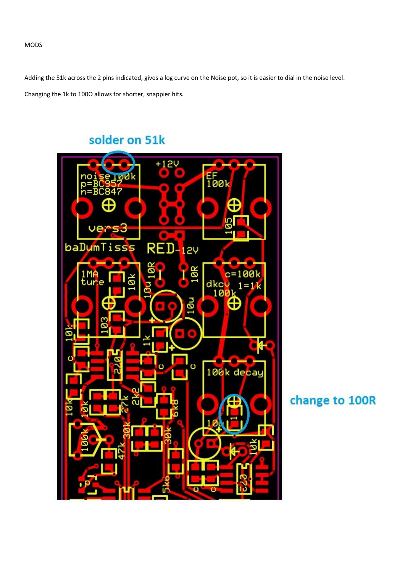Adding the 51k across the 2 pins indicated, gives a log curve on the Noise pot, so it is easier to dial in the noise level. Changing the 1k to 100Ω allows for shorter, snappier hits.

# solder on 51k